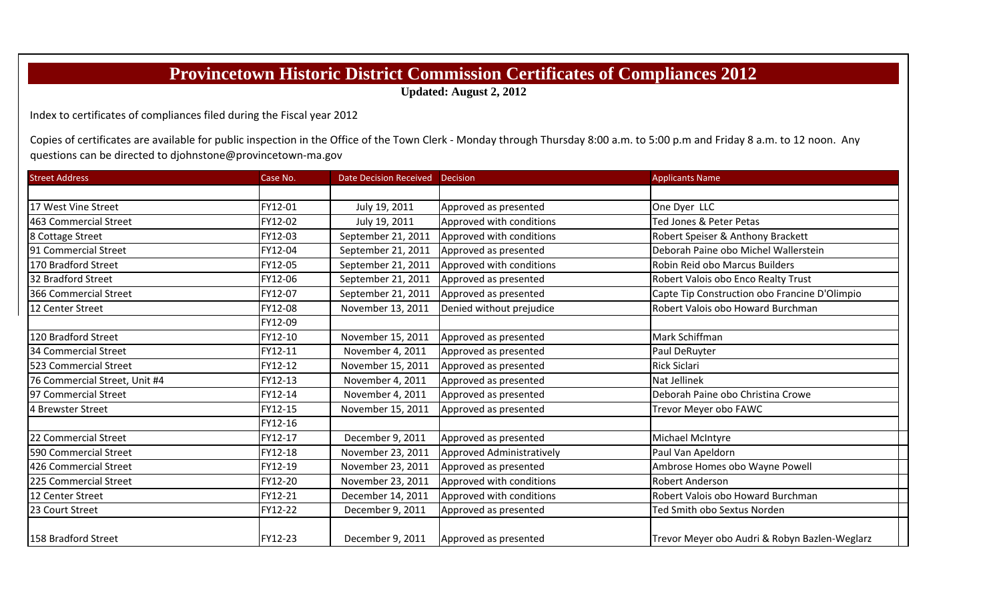## **Provincetown Historic District Commission Certificates of Compliances 2012**

**Updated: August 2, 2012**

Index to certificates of compliances filed during the Fiscal year 2012

Copies of certificates are available for public inspection in the Office of the Town Clerk - Monday through Thursday 8:00 a.m. to 5:00 p.m and Friday 8 a.m. to 12 noon. Any questions can be directed to djohnstone@provincetown‐ma.gov

| <b>Street Address</b>         | Case No. | Date Decision Received Decision |                                  | <b>Applicants Name</b>                        |
|-------------------------------|----------|---------------------------------|----------------------------------|-----------------------------------------------|
|                               |          |                                 |                                  |                                               |
| 17 West Vine Street           | FY12-01  | July 19, 2011                   | Approved as presented            | One Dyer LLC                                  |
| 463 Commercial Street         | FY12-02  | July 19, 2011                   | Approved with conditions         | Ted Jones & Peter Petas                       |
| 8 Cottage Street              | FY12-03  | September 21, 2011              | Approved with conditions         | Robert Speiser & Anthony Brackett             |
| 191 Commercial Street         | FY12-04  | September 21, 2011              | Approved as presented            | Deborah Paine obo Michel Wallerstein          |
| 170 Bradford Street           | FY12-05  | September 21, 2011              | Approved with conditions         | Robin Reid obo Marcus Builders                |
| 32 Bradford Street            | FY12-06  | September 21, 2011              | Approved as presented            | Robert Valois obo Enco Realty Trust           |
| 366 Commercial Street         | FY12-07  | September 21, 2011              | Approved as presented            | Capte Tip Construction obo Francine D'Olimpio |
| 12 Center Street              | FY12-08  | November 13, 2011               | Denied without prejudice         | Robert Valois obo Howard Burchman             |
|                               | FY12-09  |                                 |                                  |                                               |
| 120 Bradford Street           | FY12-10  | November 15, 2011               | Approved as presented            | Mark Schiffman                                |
| 34 Commercial Street          | FY12-11  | November 4, 2011                | Approved as presented            | Paul DeRuyter                                 |
| 523 Commercial Street         | FY12-12  | November 15, 2011               | Approved as presented            | <b>Rick Siclari</b>                           |
| 76 Commercial Street, Unit #4 | FY12-13  | November 4, 2011                | Approved as presented            | Nat Jellinek                                  |
| 97 Commercial Street          | FY12-14  | November 4, 2011                | Approved as presented            | Deborah Paine obo Christina Crowe             |
| 4 Brewster Street             | FY12-15  | November 15, 2011               | Approved as presented            | Trevor Meyer obo FAWC                         |
|                               | FY12-16  |                                 |                                  |                                               |
| 22 Commercial Street          | FY12-17  | December 9, 2011                | Approved as presented            | Michael McIntyre                              |
| 590 Commercial Street         | FY12-18  | November 23, 2011               | <b>Approved Administratively</b> | Paul Van Apeldorn                             |
| 426 Commercial Street         | FY12-19  | November 23, 2011               | Approved as presented            | Ambrose Homes obo Wayne Powell                |
| 225 Commercial Street         | FY12-20  | November 23, 2011               | Approved with conditions         | <b>Robert Anderson</b>                        |
| 12 Center Street              | FY12-21  | December 14, 2011               | Approved with conditions         | Robert Valois obo Howard Burchman             |
| 23 Court Street               | FY12-22  | December 9, 2011                | Approved as presented            | Ted Smith obo Sextus Norden                   |
| 158 Bradford Street           | FY12-23  | December 9, 2011                | Approved as presented            | Trevor Meyer obo Audri & Robyn Bazlen-Weglarz |